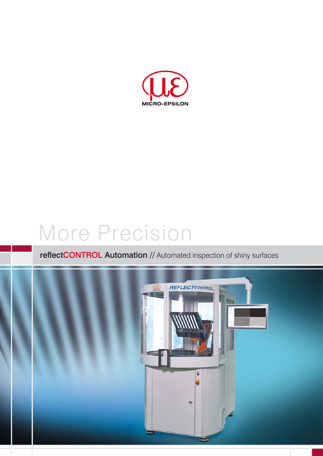

# More Precision

## reflectCONTROL Automation // Automated inspection of shiny surfaces

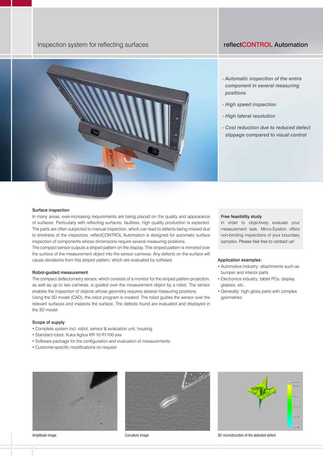## Inspection system for reflecting surfaces reflection of the reflectCONTROL Automation



- *Automatic inspection of the entire component in several measuring positions*
- *High speed inspection*
- *High lateral resolution*
- *Cost reduction due to reduced defect slippage compared to visual control*

## Surface inspection

In many areas, ever-increasing requirements are being placed on the quality and appearance of surfaces. Particularly with reflecting surfaces, faultless, high quality production is expected. The parts are often subjected to manual inspection, which can lead to defects being missed due to tiredness of the inspectors. reflectCONTROL Automation is designed for automatic surface inspection of components whose dimensions require several measuring positions.

The compact sensor outputs a striped pattern on the display. This striped pattern is mirrored over the surface of the measurement object into the sensor cameras. Any defects on the surface will cause deviations from this striped pattern, which are evaluated by software.

## Robot-guided measurement

The compact deflectometry sensor, which consists of a monitor for the striped pattern projection, as well as up to two cameras, is guided over the measurement object by a robot. The sensor enables the inspection of objects whose geometry requires several measuring positions.

Using the 3D model (CAD), the robot program is created. The robot guides the sensor over the relevant surfaces and inspects the surface. The defects found are evaluated and displayed in the 3D model.

## Scope of supply

- Complete system incl. robot, sensor & evaluation unit, housing
- Standard robot: Kuka Agilus KR 10 R1100 sixx
- Software package for the configuration and evaluation of measurements
- Customer-specific modifications on request



## Free feasibility study

In order to objectively evaluate your measurement task, Micro-Epsilon offers non-binding inspections of your boundary samples. Please feel free to contact us!

## Application examples:

- Automotive industry: attachments such as bumper and interior parts
- Electronics industry: tablet PCs, display glasses, etc.
- Generally: high-gloss parts with complex geometries



Amplitude image and the detected defect of the detected defect of the detected defect

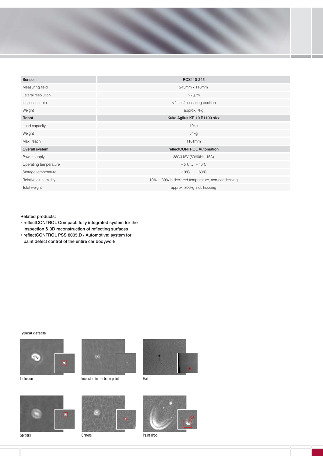

| Sensor                | RCS110-245                                       |
|-----------------------|--------------------------------------------------|
| Measuring field       | 245mm x 116mm                                    |
| Lateral resolution    | $>70 \mu m$                                      |
| Inspection rate       | <2 sec/measuring position                        |
| Weight                | approx. 7kg                                      |
| Robot                 | Kuka Agilus KR 10 R1100 sixx                     |
| Load capacity         | 10 <sub>kg</sub>                                 |
| Weight                | 54 <sub>kg</sub>                                 |
| Max. reach            | 1101mm                                           |
| Overall system        | reflectCONTROL Automation                        |
| Power supply          | 380/415V (50/60Hz, 16A)                          |
| Operating temperature | $+5^{\circ}$ C $+40^{\circ}$ C                   |
| Storage temperature   | $-10^{\circ}$ C $+60^{\circ}$ C                  |
| Relative air humidity | 10%  80% in declared temperature, non-condensing |
| Total weight          | approx. 800kg incl. housing                      |

## Related products:

- reflectCONTROL Compact: fully integrated system for the inspection & 3D reconstruction of reflecting surfaces
- reflectCONTROL PSS 8005.D / Automotive: system for
- paint defect control of the entire car bodywork

## Typical defects





Inclusion in the base paint











Paint drop